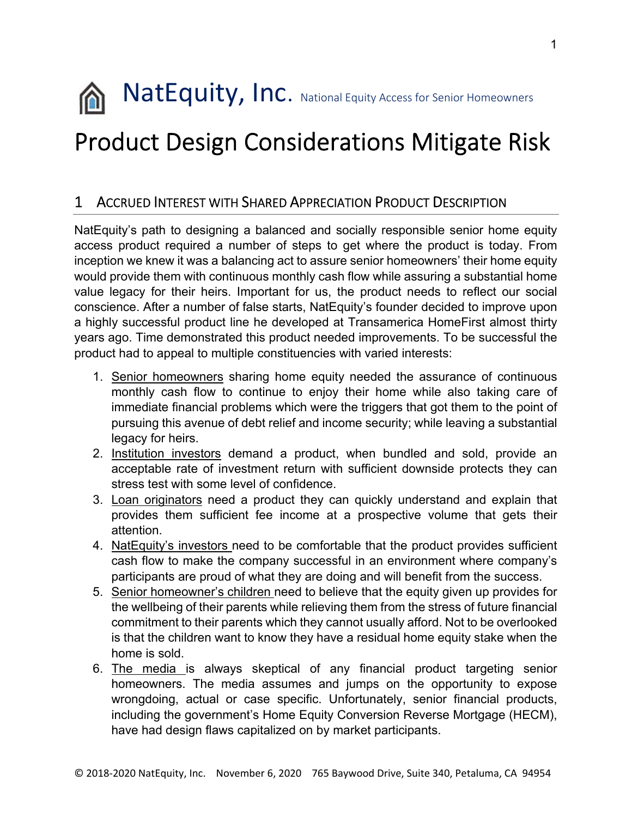

# Product Design Considerations Mitigate Risk

## 1 ACCRUED INTEREST WITH SHARED APPRECIATION PRODUCT DESCRIPTION

NatEquity's path to designing a balanced and socially responsible senior home equity access product required a number of steps to get where the product is today. From inception we knew it was a balancing act to assure senior homeowners' their home equity would provide them with continuous monthly cash flow while assuring a substantial home value legacy for their heirs. Important for us, the product needs to reflect our social conscience. After a number of false starts, NatEquity's founder decided to improve upon a highly successful product line he developed at Transamerica HomeFirst almost thirty years ago. Time demonstrated this product needed improvements. To be successful the product had to appeal to multiple constituencies with varied interests:

- 1. Senior homeowners sharing home equity needed the assurance of continuous monthly cash flow to continue to enjoy their home while also taking care of immediate financial problems which were the triggers that got them to the point of pursuing this avenue of debt relief and income security; while leaving a substantial legacy for heirs.
- 2. Institution investors demand a product, when bundled and sold, provide an acceptable rate of investment return with sufficient downside protects they can stress test with some level of confidence.
- 3. Loan originators need a product they can quickly understand and explain that provides them sufficient fee income at a prospective volume that gets their attention.
- 4. NatEquity's investors need to be comfortable that the product provides sufficient cash flow to make the company successful in an environment where company's participants are proud of what they are doing and will benefit from the success.
- 5. Senior homeowner's children need to believe that the equity given up provides for the wellbeing of their parents while relieving them from the stress of future financial commitment to their parents which they cannot usually afford. Not to be overlooked is that the children want to know they have a residual home equity stake when the home is sold.
- 6. The media is always skeptical of any financial product targeting senior homeowners. The media assumes and jumps on the opportunity to expose wrongdoing, actual or case specific. Unfortunately, senior financial products, including the government's Home Equity Conversion Reverse Mortgage (HECM), have had design flaws capitalized on by market participants.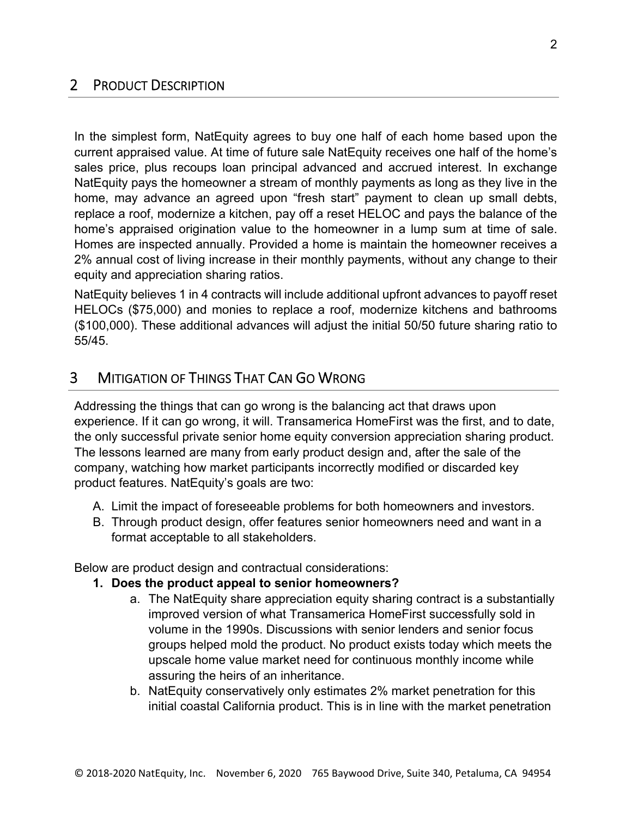# 2 PRODUCT DESCRIPTION

In the simplest form, NatEquity agrees to buy one half of each home based upon the current appraised value. At time of future sale NatEquity receives one half of the home's sales price, plus recoups loan principal advanced and accrued interest. In exchange NatEquity pays the homeowner a stream of monthly payments as long as they live in the home, may advance an agreed upon "fresh start" payment to clean up small debts, replace a roof, modernize a kitchen, pay off a reset HELOC and pays the balance of the home's appraised origination value to the homeowner in a lump sum at time of sale. Homes are inspected annually. Provided a home is maintain the homeowner receives a 2% annual cost of living increase in their monthly payments, without any change to their equity and appreciation sharing ratios.

NatEquity believes 1 in 4 contracts will include additional upfront advances to payoff reset HELOCs (\$75,000) and monies to replace a roof, modernize kitchens and bathrooms (\$100,000). These additional advances will adjust the initial 50/50 future sharing ratio to 55/45.

# 3 MITIGATION OF THINGS THAT CAN GO WRONG

Addressing the things that can go wrong is the balancing act that draws upon experience. If it can go wrong, it will. Transamerica HomeFirst was the first, and to date, the only successful private senior home equity conversion appreciation sharing product. The lessons learned are many from early product design and, after the sale of the company, watching how market participants incorrectly modified or discarded key product features. NatEquity's goals are two:

- A. Limit the impact of foreseeable problems for both homeowners and investors.
- B. Through product design, offer features senior homeowners need and want in a format acceptable to all stakeholders.

Below are product design and contractual considerations:

- **1. Does the product appeal to senior homeowners?** 
	- a. The NatEquity share appreciation equity sharing contract is a substantially improved version of what Transamerica HomeFirst successfully sold in volume in the 1990s. Discussions with senior lenders and senior focus groups helped mold the product. No product exists today which meets the upscale home value market need for continuous monthly income while assuring the heirs of an inheritance.
	- b. NatEquity conservatively only estimates 2% market penetration for this initial coastal California product. This is in line with the market penetration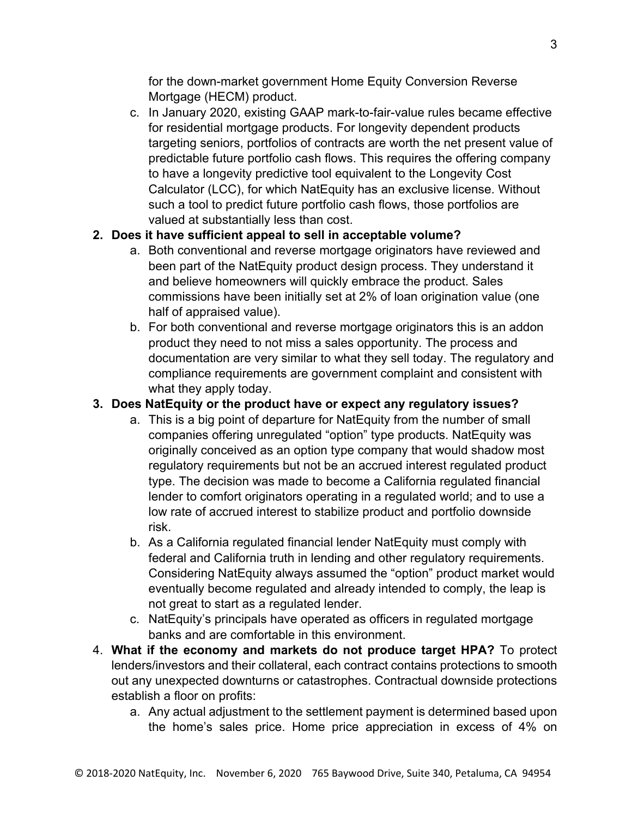for the down-market government Home Equity Conversion Reverse Mortgage (HECM) product.

c. In January 2020, existing GAAP mark-to-fair-value rules became effective for residential mortgage products. For longevity dependent products targeting seniors, portfolios of contracts are worth the net present value of predictable future portfolio cash flows. This requires the offering company to have a longevity predictive tool equivalent to the Longevity Cost Calculator (LCC), for which NatEquity has an exclusive license. Without such a tool to predict future portfolio cash flows, those portfolios are valued at substantially less than cost.

## **2. Does it have sufficient appeal to sell in acceptable volume?**

- a. Both conventional and reverse mortgage originators have reviewed and been part of the NatEquity product design process. They understand it and believe homeowners will quickly embrace the product. Sales commissions have been initially set at 2% of loan origination value (one half of appraised value).
- b. For both conventional and reverse mortgage originators this is an addon product they need to not miss a sales opportunity. The process and documentation are very similar to what they sell today. The regulatory and compliance requirements are government complaint and consistent with what they apply today.

## **3. Does NatEquity or the product have or expect any regulatory issues?**

- a. This is a big point of departure for NatEquity from the number of small companies offering unregulated "option" type products. NatEquity was originally conceived as an option type company that would shadow most regulatory requirements but not be an accrued interest regulated product type. The decision was made to become a California regulated financial lender to comfort originators operating in a regulated world; and to use a low rate of accrued interest to stabilize product and portfolio downside risk.
- b. As a California regulated financial lender NatEquity must comply with federal and California truth in lending and other regulatory requirements. Considering NatEquity always assumed the "option" product market would eventually become regulated and already intended to comply, the leap is not great to start as a regulated lender.
- c. NatEquity's principals have operated as officers in regulated mortgage banks and are comfortable in this environment.
- 4. **What if the economy and markets do not produce target HPA?** To protect lenders/investors and their collateral, each contract contains protections to smooth out any unexpected downturns or catastrophes. Contractual downside protections establish a floor on profits:
	- a. Any actual adjustment to the settlement payment is determined based upon the home's sales price. Home price appreciation in excess of 4% on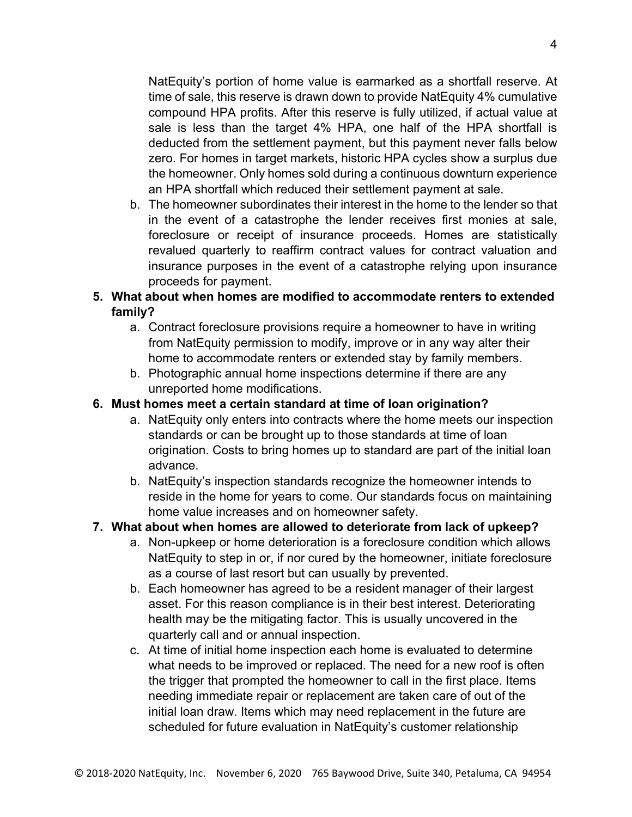NatEquity's portion of home value is earmarked as a shortfall reserve. At time of sale, this reserve is drawn down to provide NatEquity 4% cumulative compound HPA profits. After this reserve is fully utilized, if actual value at sale is less than the target 4% HPA, one half of the HPA shortfall is deducted from the settlement payment, but this payment never falls below zero. For homes in target markets, historic HPA cycles show a surplus due the homeowner. Only homes sold during a continuous downturn experience an HPA shortfall which reduced their settlement payment at sale.

b. The homeowner subordinates their interest in the home to the lender so that in the event of a catastrophe the lender receives first monies at sale, foreclosure or receipt of insurance proceeds. Homes are statistically revalued quarterly to reaffirm contract values for contract valuation and insurance purposes in the event of a catastrophe relying upon insurance proceeds for payment.

#### **5. What about when homes are modified to accommodate renters to extended family?**

- a. Contract foreclosure provisions require a homeowner to have in writing from NatEquity permission to modify, improve or in any way alter their home to accommodate renters or extended stay by family members.
- b. Photographic annual home inspections determine if there are any unreported home modifications.

#### **6. Must homes meet a certain standard at time of loan origination?**

- a. NatEquity only enters into contracts where the home meets our inspection standards or can be brought up to those standards at time of loan origination. Costs to bring homes up to standard are part of the initial loan advance.
- b. NatEquity's inspection standards recognize the homeowner intends to reside in the home for years to come. Our standards focus on maintaining home value increases and on homeowner safety.

## **7. What about when homes are allowed to deteriorate from lack of upkeep?**

- a. Non-upkeep or home deterioration is a foreclosure condition which allows NatEquity to step in or, if nor cured by the homeowner, initiate foreclosure as a course of last resort but can usually by prevented.
- b. Each homeowner has agreed to be a resident manager of their largest asset. For this reason compliance is in their best interest. Deteriorating health may be the mitigating factor. This is usually uncovered in the quarterly call and or annual inspection.
- c. At time of initial home inspection each home is evaluated to determine what needs to be improved or replaced. The need for a new roof is often the trigger that prompted the homeowner to call in the first place. Items needing immediate repair or replacement are taken care of out of the initial loan draw. Items which may need replacement in the future are scheduled for future evaluation in NatEquity's customer relationship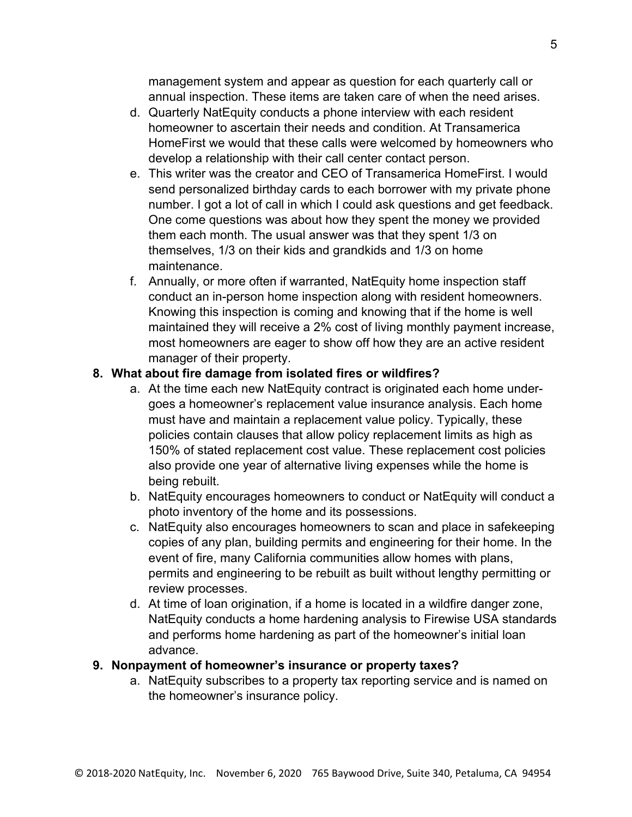management system and appear as question for each quarterly call or annual inspection. These items are taken care of when the need arises.

- d. Quarterly NatEquity conducts a phone interview with each resident homeowner to ascertain their needs and condition. At Transamerica HomeFirst we would that these calls were welcomed by homeowners who develop a relationship with their call center contact person.
- e. This writer was the creator and CEO of Transamerica HomeFirst. I would send personalized birthday cards to each borrower with my private phone number. I got a lot of call in which I could ask questions and get feedback. One come questions was about how they spent the money we provided them each month. The usual answer was that they spent 1/3 on themselves, 1/3 on their kids and grandkids and 1/3 on home maintenance.
- f. Annually, or more often if warranted, NatEquity home inspection staff conduct an in-person home inspection along with resident homeowners. Knowing this inspection is coming and knowing that if the home is well maintained they will receive a 2% cost of living monthly payment increase, most homeowners are eager to show off how they are an active resident manager of their property.

#### **8. What about fire damage from isolated fires or wildfires?**

- a. At the time each new NatEquity contract is originated each home undergoes a homeowner's replacement value insurance analysis. Each home must have and maintain a replacement value policy. Typically, these policies contain clauses that allow policy replacement limits as high as 150% of stated replacement cost value. These replacement cost policies also provide one year of alternative living expenses while the home is being rebuilt.
- b. NatEquity encourages homeowners to conduct or NatEquity will conduct a photo inventory of the home and its possessions.
- c. NatEquity also encourages homeowners to scan and place in safekeeping copies of any plan, building permits and engineering for their home. In the event of fire, many California communities allow homes with plans, permits and engineering to be rebuilt as built without lengthy permitting or review processes.
- d. At time of loan origination, if a home is located in a wildfire danger zone, NatEquity conducts a home hardening analysis to Firewise USA standards and performs home hardening as part of the homeowner's initial loan advance.

#### **9. Nonpayment of homeowner's insurance or property taxes?**

a. NatEquity subscribes to a property tax reporting service and is named on the homeowner's insurance policy.